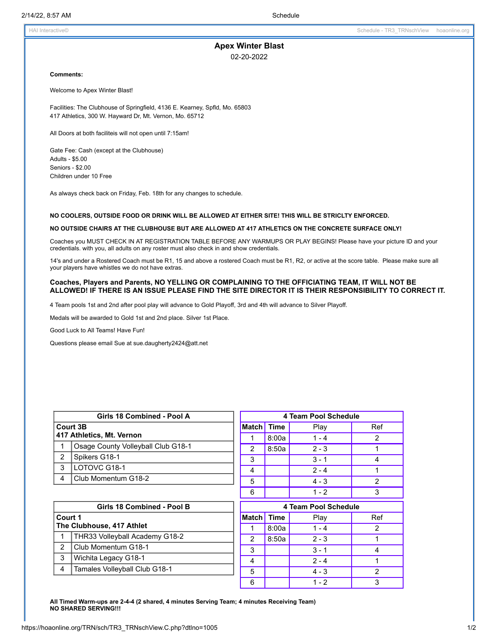HAI Interactive© Schedule - TR3\_TRNschView hoaonline.org

# **Apex Winter Blast**

02-20-2022

#### **Comments:**

Welcome to Apex Winter Blast!

Facilities: The Clubhouse of Springfield, 4136 E. Kearney, Spfld, Mo. 65803 417 Athletics, 300 W. Hayward Dr, Mt. Vernon, Mo. 65712

All Doors at both faciliteis will not open until 7:15am!

Gate Fee: Cash (except at the Clubhouse) Adults - \$5.00 Seniors - \$2.00 Children under 10 Free

As always check back on Friday, Feb. 18th for any changes to schedule.

### **NO COOLERS, OUTSIDE FOOD OR DRINK WILL BE ALLOWED AT EITHER SITE! THIS WILL BE STRICLTY ENFORCED.**

### **NO OUTSIDE CHAIRS AT THE CLUBHOUSE BUT ARE ALLOWED AT 417 ATHLETICS ON THE CONCRETE SURFACE ONLY!**

Coaches you MUST CHECK IN AT REGISTRATION TABLE BEFORE ANY WARMUPS OR PLAY BEGINS! Please have your picture ID and your credentials. with you, all adults on any roster must also check in and show credentials.

14's and under a Rostered Coach must be R1, 15 and above a rostered Coach must be R1, R2, or active at the score table. Please make sure all your players have whistles we do not have extras.

## **Coaches, Players and Parents, NO YELLING OR COMPLAINING TO THE OFFICIATING TEAM, IT WILL NOT BE** ALLOWED! IF THERE IS AN ISSUE PLEASE FIND THE SITE DIRECTOR IT IS THEIR RESPONSIBILITY TO CORRECT IT.

4 Team pools 1st and 2nd after pool play will advance to Gold Playoff, 3rd and 4th will advance to Silver Playoff.

Medals will be awarded to Gold 1st and 2nd place. Silver 1st Place.

Good Luck to All Teams! Have Fun!

Questions please email Sue at sue.daugherty2424@att.net

| Girls 18 Combined - Pool A<br>Court 3B |                                    |  |                   | 4 Team Pool Schedule |                            |     |  |
|----------------------------------------|------------------------------------|--|-------------------|----------------------|----------------------------|-----|--|
|                                        |                                    |  | <b>Match Time</b> |                      | Play                       | Ref |  |
|                                        | 417 Athletics, Mt. Vernon          |  |                   | 8:00a                | $1 - 4$                    | 2   |  |
|                                        | Osage County Volleyball Club G18-1 |  | 2                 | 8:50a                | $2 - 3$                    |     |  |
| 2                                      | Spikers G18-1                      |  | 3                 |                      | $3 - 1$                    |     |  |
| 3                                      | LOTOVC G18-1                       |  | 4                 |                      | $2 - 4$                    |     |  |
| 4                                      | Club Momentum G18-2                |  | 5                 |                      | $4 - 3$                    | ◠   |  |
|                                        |                                    |  | 6                 |                      | $1 - 2$                    |     |  |
|                                        | --- ---<br>.                       |  |                   |                      | $\sim$ $\sim$<br>_ _ _ _ _ |     |  |

| Girls 18 Combined - Pool B           |                                |  |  |  |  |  |
|--------------------------------------|--------------------------------|--|--|--|--|--|
| Court 1<br>The Clubhouse, 417 Athlet |                                |  |  |  |  |  |
|                                      | THR33 Volleyball Academy G18-2 |  |  |  |  |  |
| $\mathcal{P}$                        | l Club Momentum G18-1          |  |  |  |  |  |
| 3                                    | Wichita Legacy G18-1           |  |  |  |  |  |
|                                      | Tamales Volleyball Club G18-1  |  |  |  |  |  |
|                                      |                                |  |  |  |  |  |

| 4     | $2 - 4$              |         |     |  |  |  |  |  |  |
|-------|----------------------|---------|-----|--|--|--|--|--|--|
| 5     |                      | $4 - 3$ | 2   |  |  |  |  |  |  |
| 6     |                      | $1 - 2$ | 3   |  |  |  |  |  |  |
|       | 4 Team Pool Schedule |         |     |  |  |  |  |  |  |
| Match | <b>Time</b>          | Play    | Ref |  |  |  |  |  |  |
|       | 8:00a                | $1 - 4$ | 2   |  |  |  |  |  |  |
| 2     | 8:50a                | $2 - 3$ |     |  |  |  |  |  |  |
| 3     |                      | $3 - 1$ |     |  |  |  |  |  |  |
|       |                      | $2 - 4$ |     |  |  |  |  |  |  |

5 | 4 - 3 | 2 6 | 1-2 | 3

**All Timed Warm-ups are 2-4-4 (2 shared, 4 minutes Serving Team; 4 minutes Receiving Team) NO SHARED SERVING!!!**